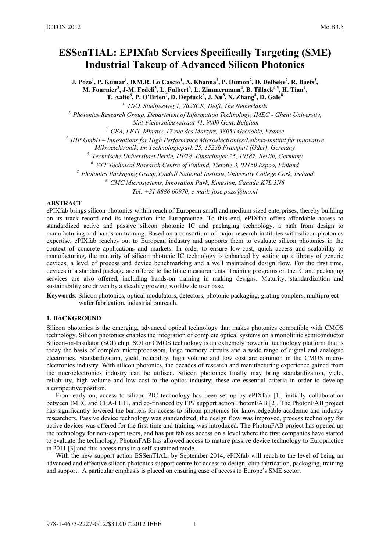# **ESSenTIAL: EPIXfab Services Specifically Targeting (SME) Industrial Takeup of Advanced Silicon Photonics**

**J. Pozo<sup>1</sup> , P. Kumar1 , D.M.R. Lo Cascio<sup>1</sup> , A. Khanna<sup>2</sup> , P. Dumon2 , D. Delbeke2 , R. Baets<sup>2</sup> ,**  M. Fournier<sup>3</sup>, J-M. Fedeli<sup>3</sup>, L. Fulbert<sup>3</sup>, L. Zimmermann<sup>4</sup>, B. Tillack<sup>4,5</sup>, H. Tian<sup>4</sup>, **T.** Aalto<sup>6</sup>, P. O'Brien<sup>7</sup>, D. Deptuck<sup>8</sup>, J. Xu<sup>8</sup>, X. Zhang<sup>8</sup>, D. Gale<sup>8</sup>

<sup>1.</sup> TNO, Stieltjesweg 1, 2628CK, Delft, The Netherlands<br><sup>2.</sup> Photonics Research Group, Department of Information Technology, IMEC - Ghent University,<br>Sint-Pietersnieuwstraat 41, 9000 Gent, Belgium

<sup>3.</sup> CEA, LETI, Minatec 17 rue des Martyrs, 38054 Grenoble, France<br><sup>4.</sup> IHP GmbH – Innovations for High Performance Microelectronics/Leibniz-Institut für innovative<br>Mikroelektronik, Im Technologiepark 25, 15236 Frankfurt (

*Mikroelektronik, Im Technologiepark 25, 15236 Frankfurt (Oder), Germany 5. Technische Universitaet Berlin, HFT4, Einsteinufer 25, 10587, Berlin, Germany* 

<sup>6</sup> VTT Technical Research Centre of Finland, Tietotie 3, 02150 Espoo, Finland<br><sup>7</sup> Photonics Packaging Group, Tyndall National Institute, University College Cork, Ireland<sup>7</sup><br><sup>8</sup> CMC Microsystems, Innovation Park, Kingston

*Tel: +31 8886 60970, e-mail: jose.pozo@tno.nl* 

#### **ABSTRACT**

ePIXfab brings silicon photonics within reach of European small and medium sized enterprises, thereby building on its track record and its integration into Europractice. To this end, ePIXfab offers affordable access to standardized active and passive silicon photonic IC and packaging technology, a path from design to manufacturing and hands-on training. Based on a consortium of major research institutes with silicon photonics expertise, ePIXfab reaches out to European industry and supports them to evaluate silicon photonics in the context of concrete applications and markets. In order to ensure low-cost, quick access and scalability to manufacturing, the maturity of silicon photonic IC technology is enhanced by setting up a library of generic devices, a level of process and device benchmarking and a well maintained design flow. For the first time, devices in a standard package are offered to facilitate measurements. Training programs on the IC and packaging services are also offered, including hands-on training in making designs. Maturity, standardization and sustainability are driven by a steadily growing worldwide user base.

**Keywords**: Silicon photonics, optical modulators, detectors, photonic packaging, grating couplers, multiproject wafer fabrication, industrial outreach.

# **1. BACKGROUND**

Silicon photonics is the emerging, advanced optical technology that makes photonics compatible with CMOS technology. Silicon photonics enables the integration of complete optical systems on a monolithic semiconductor Silicon-on-Insulator (SOI) chip. SOI or CMOS technology is an extremely powerful technology platform that is today the basis of complex microprocessors, large memory circuits and a wide range of digital and analogue electronics. Standardization, yield, reliability, high volume and low cost are common in the CMOS microelectronics industry. With silicon photonics, the decades of research and manufacturing experience gained from the microelectronics industry can be utilised. Silicon photonics finally may bring standardization, yield, reliability, high volume and low cost to the optics industry; these are essential criteria in order to develop a competitive position.

From early on, access to silicon PIC technology has been set up by ePIXfab [1], initially collaboration between IMEC and CEA-LETI, and co-financed by FP7 support action PhotonFAB [2]. The PhotonFAB project has significantly lowered the barriers for access to silicon photonics for knowledgeable academic and industry researchers. Passive device technology was standardized, the design flow was improved, process technology for active devices was offered for the first time and training was introduced. The PhotonFAB project has opened up the technology for non-expert users, and has put fabless access on a level where the first companies have started to evaluate the technology. PhotonFAB has allowed access to mature passive device technology to Europractice in 2011 [3] and this access runs in a self-sustained mode.

With the new support action ESSenTIAL, by September 2014, ePIXfab will reach to the level of being an advanced and effective silicon photonics support centre for access to design, chip fabrication, packaging, training and support. A particular emphasis is placed on ensuring ease of access to Europe's SME sector.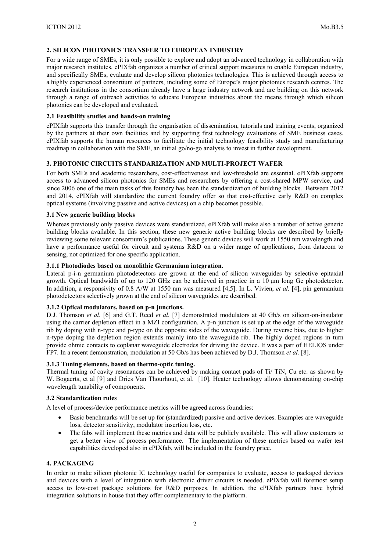#### **2. SILICON PHOTONICS TRANSFER TO EUROPEAN INDUSTRY**

For a wide range of SMEs, it is only possible to explore and adopt an advanced technology in collaboration with major research institutes. ePIXfab organizes a number of critical support measures to enable European industry, and specifically SMEs, evaluate and develop silicon photonics technologies. This is achieved through access to a highly experienced consortium of partners, including some of Europe's major photonics research centres. The research institutions in the consortium already have a large industry network and are building on this network through a range of outreach activities to educate European industries about the means through which silicon photonics can be developed and evaluated.

#### **2.1 Feasibility studies and hands-on training**

ePIXfab supports this transfer through the organisation of dissemination, tutorials and training events, organized by the partners at their own facilities and by supporting first technology evaluations of SME business cases. ePIXfab supports the human resources to facilitate the initial technology feasibility study and manufacturing roadmap in collaboration with the SME, an initial go/no-go analysis to invest in further development.

#### **3. PHOTONIC CIRCUITS STANDARIZATION AND MULTI-PROJECT WAFER**

For both SMEs and academic researchers, cost-effectiveness and low-threshold are essential. ePIXfab supports access to advanced silicon photonics for SMEs and researchers by offering a cost-shared MPW service, and since 2006 one of the main tasks of this foundry has been the standardization of building blocks. Between 2012 and 2014, ePIXfab will standardize the current foundry offer so that cost-effective early R&D on complex optical systems (involving passive and active devices) on a chip becomes possible.

#### **3.1 New generic building blocks**

Whereas previously only passive devices were standardized, ePIXfab will make also a number of active generic building blocks available. In this section, these new generic active building blocks are described by briefly reviewing some relevant consortium's publications. These generic devices will work at 1550 nm wavelength and have a performance useful for circuit and systems R&D on a wider range of applications, from datacom to sensing, not optimized for one specific application.

# **3.1.1 Photodiodes based on monolithic Germanium integration.**

Lateral p-i-n germanium photodetectors are grown at the end of silicon waveguides by selective epitaxial growth. Optical bandwidth of up to 120 GHz can be achieved in practice in a 10 μm long Ge photodetector. In addition, a responsivity of 0.8 A/W at 1550 nm was measured [4,5]. In L. Vivien, *et al.* [4], pin germanium photodetectors selectively grown at the end of silicon waveguides are described.

# **3.1.2 Optical modulators, based on p-n junctions.**

D.J. Thomson *et al.* [6] and G.T. Reed *et al.* [7] demonstrated modulators at 40 Gb/s on silicon-on-insulator using the carrier depletion effect in a MZI configuration. A p-n junction is set up at the edge of the waveguide rib by doping with n-type and p-type on the opposite sides of the waveguide. During reverse bias, due to higher n-type doping the depletion region extends mainly into the waveguide rib. The highly doped regions in turn provide ohmic contacts to coplanar waveguide electrodes for driving the device. It was a part of HELIOS under FP7. In a recent demonstration, modulation at 50 Gb/s has been achieved by D.J. Thomson *et al.* [8].

#### **3.1.3 Tuning elements, based on thermo-optic tuning.**

Thermal tuning of cavity resonances can be achieved by making contact pads of Ti/ TiN, Cu etc. as shown by W. Bogaerts, et al [9] and Dries Van Thourhout, et al. [10]. Heater technology allows demonstrating on-chip wavelength tunability of components.

#### **3.2 Standardization rules**

A level of process/device performance metrics will be agreed across foundries:

- Basic benchmarks will be set up for (standardized) passive and active devices. Examples are waveguide loss, detector sensitivity, modulator insertion loss, etc.
- The fabs will implement these metrics and data will be publicly available. This will allow customers to get a better view of process performance. The implementation of these metrics based on wafer test capabilities developed also in ePIXfab, will be included in the foundry price.

# **4. PACKAGING**

In order to make silicon photonic IC technology useful for companies to evaluate, access to packaged devices and devices with a level of integration with electronic driver circuits is needed. ePIXfab will foremost setup access to low-cost package solutions for R&D purposes. In addition, the ePIXfab partners have hybrid integration solutions in house that they offer complementary to the platform.